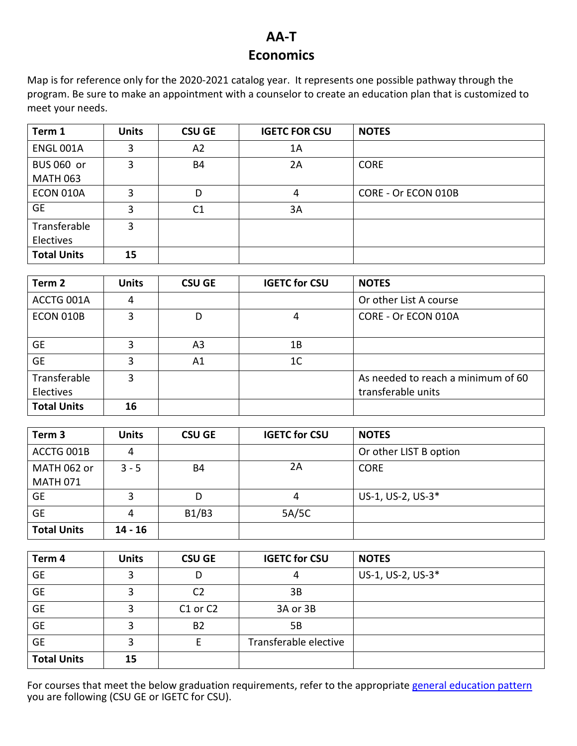## **AA-T Economics**

Map is for reference only for the 2020-2021 catalog year. It represents one possible pathway through the program. Be sure to make an appointment with a counselor to create an education plan that is customized to meet your needs.

| Term 1                        | <b>Units</b> | <b>CSU GE</b>  | <b>IGETC FOR CSU</b> | <b>NOTES</b>        |
|-------------------------------|--------------|----------------|----------------------|---------------------|
| <b>ENGL 001A</b>              | 3            | A2             | 1A                   |                     |
| BUS 060 or<br><b>MATH 063</b> | 3            | <b>B4</b>      | 2A                   | <b>CORE</b>         |
| ECON 010A                     | 3            | D              | 4                    | CORE - Or ECON 010B |
| <b>GE</b>                     | 3            | C <sub>1</sub> | 3A                   |                     |
| Transferable<br>Electives     | 3            |                |                      |                     |
| <b>Total Units</b>            | 15           |                |                      |                     |

| Term <sub>2</sub>         | <b>Units</b> | <b>CSU GE</b>  | <b>IGETC for CSU</b> | <b>NOTES</b>                                             |
|---------------------------|--------------|----------------|----------------------|----------------------------------------------------------|
| ACCTG 001A                | 4            |                |                      | Or other List A course                                   |
| ECON 010B                 | 3            | D              | 4                    | CORE - Or ECON 010A                                      |
| <b>GE</b>                 | 3            | A <sub>3</sub> | 1Β                   |                                                          |
| <b>GE</b>                 | 3            | A1             | 1 <sup>C</sup>       |                                                          |
| Transferable<br>Electives | 3            |                |                      | As needed to reach a minimum of 60<br>transferable units |
| <b>Total Units</b>        | 16           |                |                      |                                                          |

| Term <sub>3</sub>  | <b>Units</b> | <b>CSU GE</b> | <b>IGETC for CSU</b> | <b>NOTES</b>           |
|--------------------|--------------|---------------|----------------------|------------------------|
| ACCTG 001B         | 4            |               |                      | Or other LIST B option |
| MATH 062 or        | $3 - 5$      | <b>B4</b>     | 2A                   | <b>CORE</b>            |
| <b>MATH 071</b>    |              |               |                      |                        |
| <b>GE</b>          | 3            | D             | 4                    | US-1, US-2, US-3*      |
| <b>GE</b>          | 4            | B1/B3         | 5A/5C                |                        |
| <b>Total Units</b> | $14 - 16$    |               |                      |                        |

| Term 4             | <b>Units</b> | <b>CSU GE</b>  | <b>IGETC for CSU</b>  | <b>NOTES</b>      |
|--------------------|--------------|----------------|-----------------------|-------------------|
| <b>GE</b>          | 3            | D              | 4                     | US-1, US-2, US-3* |
| <b>GE</b>          | 3            | C <sub>2</sub> | 3B                    |                   |
| <b>GE</b>          | 3            | C1 or C2       | 3A or 3B              |                   |
| <b>GE</b>          | 3            | <b>B2</b>      | 5B                    |                   |
| <b>GE</b>          | 3            |                | Transferable elective |                   |
| <b>Total Units</b> | 15           |                |                       |                   |

For courses that meet the below graduation requirements, refer to the appropriate [general education pattern](https://www.evc.edu/current-students/degrees-certificates) you are following (CSU GE or IGETC for CSU).